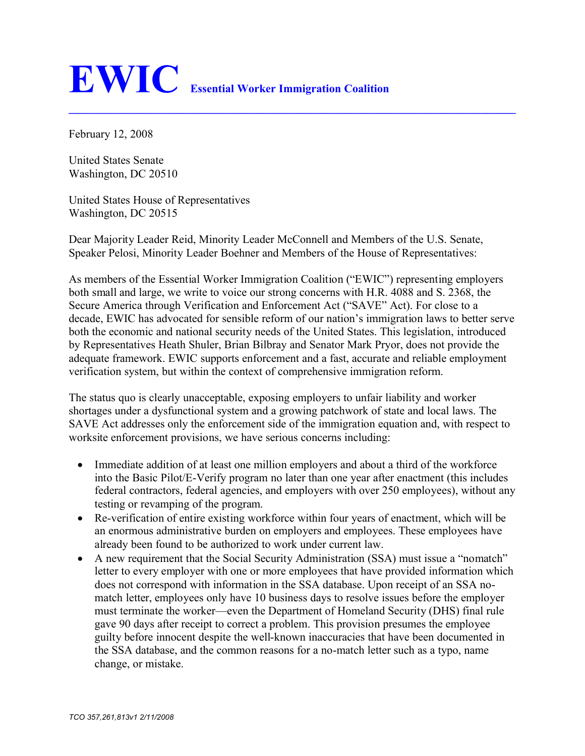## **EWIC Essential Worker Immigration Coalition**

February 12, 2008

United States Senate Washington, DC 20510

United States House of Representatives Washington, DC 20515

Dear Majority Leader Reid, Minority Leader McConnell and Members of the U.S. Senate, Speaker Pelosi, Minority Leader Boehner and Members of the House of Representatives:

**\_\_\_\_\_\_\_\_\_\_\_\_\_\_\_\_\_\_\_\_\_\_\_\_\_\_\_\_\_\_\_\_\_\_\_\_\_\_\_\_\_\_\_\_\_\_\_\_\_\_\_\_\_\_\_\_\_\_\_\_\_\_\_\_\_\_\_\_\_\_\_\_\_\_\_\_\_\_**

As members of the Essential Worker Immigration Coalition ("EWIC") representing employers both small and large, we write to voice our strong concerns with H.R. 4088 and S. 2368, the Secure America through Verification and Enforcement Act ("SAVE" Act). For close to a decade, EWIC has advocated for sensible reform of our nation's immigration laws to better serve both the economic and national security needs of the United States. This legislation, introduced by Representatives Heath Shuler, Brian Bilbray and Senator Mark Pryor, does not provide the adequate framework. EWIC supports enforcement and a fast, accurate and reliable employment verification system, but within the context of comprehensive immigration reform.

The status quo is clearly unacceptable, exposing employers to unfair liability and worker shortages under a dysfunctional system and a growing patchwork of state and local laws. The SAVE Act addresses only the enforcement side of the immigration equation and, with respect to worksite enforcement provisions, we have serious concerns including:

- Immediate addition of at least one million employers and about a third of the workforce into the Basic Pilot/E-Verify program no later than one year after enactment (this includes federal contractors, federal agencies, and employers with over 250 employees), without any testing or revamping of the program.
- Re-verification of entire existing workforce within four years of enactment, which will be an enormous administrative burden on employers and employees. These employees have already been found to be authorized to work under current law.
- A new requirement that the Social Security Administration (SSA) must issue a "nomatch" letter to every employer with one or more employees that have provided information which does not correspond with information in the SSA database. Upon receipt of an SSA nomatch letter, employees only have 10 business days to resolve issues before the employer must terminate the worker—even the Department of Homeland Security (DHS) final rule gave 90 days after receipt to correct a problem. This provision presumes the employee guilty before innocent despite the well-known inaccuracies that have been documented in the SSA database, and the common reasons for a no-match letter such as a typo, name change, or mistake.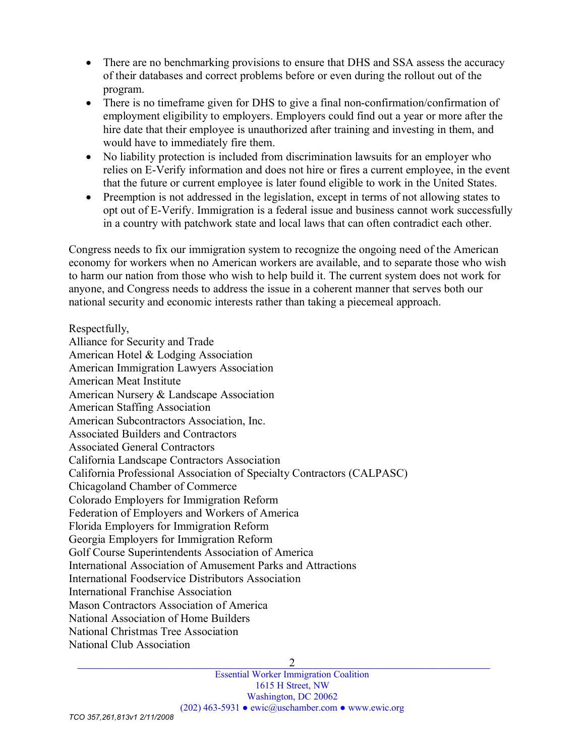- There are no benchmarking provisions to ensure that DHS and SSA assess the accuracy of their databases and correct problems before or even during the rollout out of the program.
- There is no timeframe given for DHS to give a final non-confirmation/confirmation of employment eligibility to employers. Employers could find out a year or more after the hire date that their employee is unauthorized after training and investing in them, and would have to immediately fire them.
- No liability protection is included from discrimination lawsuits for an employer who relies on E-Verify information and does not hire or fires a current employee, in the event that the future or current employee is later found eligible to work in the United States.
- Preemption is not addressed in the legislation, except in terms of not allowing states to opt out of E-Verify. Immigration is a federal issue and business cannot work successfully in a country with patchwork state and local laws that can often contradict each other.

Congress needs to fix our immigration system to recognize the ongoing need of the American economy for workers when no American workers are available, and to separate those who wish to harm our nation from those who wish to help build it. The current system does not work for anyone, and Congress needs to address the issue in a coherent manner that serves both our national security and economic interests rather than taking a piecemeal approach.

Respectfully, Alliance for Security and Trade American Hotel & Lodging Association American Immigration Lawyers Association American Meat Institute American Nursery & Landscape Association American Staffing Association American Subcontractors Association, Inc. Associated Builders and Contractors Associated General Contractors California Landscape Contractors Association California Professional Association of Specialty Contractors (CALPASC) Chicagoland Chamber of Commerce Colorado Employers for Immigration Reform Federation of Employers and Workers of America Florida Employers for Immigration Reform Georgia Employers for Immigration Reform Golf Course Superintendents Association of America International Association of Amusement Parks and Attractions International Foodservice Distributors Association International Franchise Association Mason Contractors Association of America National Association of Home Builders National Christmas Tree Association National Club Association

2